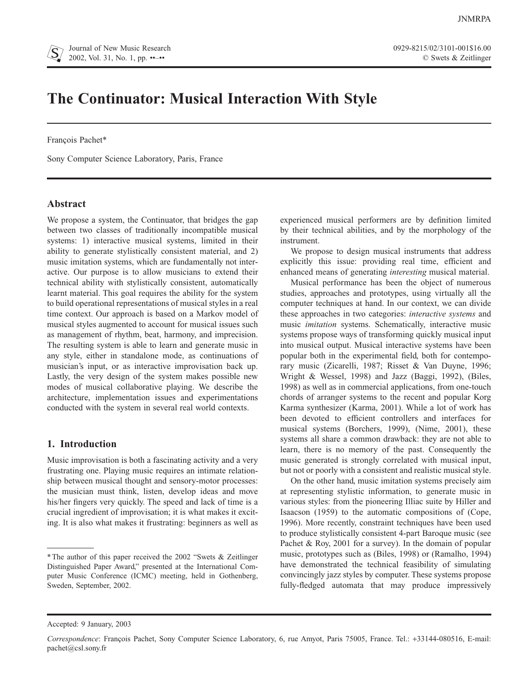# **The Continuator: Musical Interaction With Style**

François Pachet\*

Sony Computer Science Laboratory, Paris, France

# **Abstract**

We propose a system, the Continuator, that bridges the gap between two classes of traditionally incompatible musical systems: 1) interactive musical systems, limited in their ability to generate stylistically consistent material, and 2) music imitation systems, which are fundamentally not interactive. Our purpose is to allow musicians to extend their technical ability with stylistically consistent, automatically learnt material. This goal requires the ability for the system to build operational representations of musical styles in a real time context. Our approach is based on a Markov model of musical styles augmented to account for musical issues such as management of rhythm, beat, harmony, and imprecision. The resulting system is able to learn and generate music in any style, either in standalone mode, as continuations of musician's input, or as interactive improvisation back up. Lastly, the very design of the system makes possible new modes of musical collaborative playing. We describe the architecture, implementation issues and experimentations conducted with the system in several real world contexts.

## **1. Introduction**

Music improvisation is both a fascinating activity and a very frustrating one. Playing music requires an intimate relationship between musical thought and sensory-motor processes: the musician must think, listen, develop ideas and move his/her fingers very quickly. The speed and lack of time is a crucial ingredient of improvisation; it is what makes it exciting. It is also what makes it frustrating: beginners as well as experienced musical performers are by definition limited by their technical abilities, and by the morphology of the instrument.

We propose to design musical instruments that address explicitly this issue: providing real time, efficient and enhanced means of generating *interesting* musical material.

Musical performance has been the object of numerous studies, approaches and prototypes, using virtually all the computer techniques at hand. In our context, we can divide these approaches in two categories: *interactive systems* and music *imitation* systems. Schematically, interactive music systems propose ways of transforming quickly musical input into musical output. Musical interactive systems have been popular both in the experimental field, both for contemporary music (Zicarelli, 1987; Risset & Van Duyne, 1996; Wright & Wessel, 1998) and Jazz (Baggi, 1992), (Biles, 1998) as well as in commercial applications, from one-touch chords of arranger systems to the recent and popular Korg Karma synthesizer (Karma, 2001). While a lot of work has been devoted to efficient controllers and interfaces for musical systems (Borchers, 1999), (Nime, 2001), these systems all share a common drawback: they are not able to learn, there is no memory of the past. Consequently the music generated is strongly correlated with musical input, but not or poorly with a consistent and realistic musical style.

On the other hand, music imitation systems precisely aim at representing stylistic information, to generate music in various styles: from the pioneering Illiac suite by Hiller and Isaacson (1959) to the automatic compositions of (Cope, 1996). More recently, constraint techniques have been used to produce stylistically consistent 4-part Baroque music (see Pachet & Roy, 2001 for a survey). In the domain of popular music, prototypes such as (Biles, 1998) or (Ramalho, 1994) have demonstrated the technical feasibility of simulating convincingly jazz styles by computer. These systems propose fully-fledged automata that may produce impressively

<sup>\*</sup> The author of this paper received the 2002 "Swets & Zeitlinger Distinguished Paper Award," presented at the International Computer Music Conference (ICMC) meeting, held in Gothenberg, Sweden, September, 2002.

Accepted: 9 January, 2003

*Correspondence*: François Pachet, Sony Computer Science Laboratory, 6, rue Amyot, Paris 75005, France. Tel.: +33144-080516, E-mail: pachet@csl.sony.fr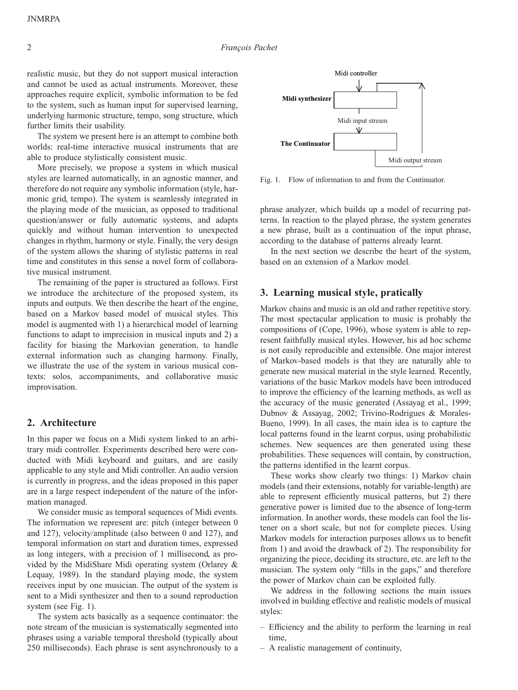realistic music, but they do not support musical interaction and cannot be used as actual instruments. Moreover, these approaches require explicit, symbolic information to be fed to the system, such as human input for supervised learning, underlying harmonic structure, tempo, song structure, which further limits their usability.

The system we present here is an attempt to combine both worlds: real-time interactive musical instruments that are able to produce stylistically consistent music.

More precisely, we propose a system in which musical styles are learned automatically, in an agnostic manner, and therefore do not require any symbolic information (style, harmonic grid, tempo). The system is seamlessly integrated in the playing mode of the musician, as opposed to traditional question/answer or fully automatic systems, and adapts quickly and without human intervention to unexpected changes in rhythm, harmony or style. Finally, the very design of the system allows the sharing of stylistic patterns in real time and constitutes in this sense a novel form of collaborative musical instrument.

The remaining of the paper is structured as follows. First we introduce the architecture of the proposed system, its inputs and outputs. We then describe the heart of the engine, based on a Markov based model of musical styles. This model is augmented with 1) a hierarchical model of learning functions to adapt to imprecision in musical inputs and 2) a facility for biasing the Markovian generation, to handle external information such as changing harmony. Finally, we illustrate the use of the system in various musical contexts: solos, accompaniments, and collaborative music improvisation.

# **2. Architecture**

In this paper we focus on a Midi system linked to an arbitrary midi controller. Experiments described here were conducted with Midi keyboard and guitars, and are easily applicable to any style and Midi controller. An audio version is currently in progress, and the ideas proposed in this paper are in a large respect independent of the nature of the information managed.

We consider music as temporal sequences of Midi events. The information we represent are: pitch (integer between 0 and 127), velocity/amplitude (also between 0 and 127), and temporal information on start and duration times, expressed as long integers, with a precision of 1 millisecond, as provided by the MidiShare Midi operating system (Orlarey & Lequay, 1989). In the standard playing mode, the system receives input by one musician. The output of the system is sent to a Midi synthesizer and then to a sound reproduction system (see Fig. 1).

The system acts basically as a sequence continuator: the note stream of the musician is systematically segmented into phrases using a variable temporal threshold (typically about 250 milliseconds). Each phrase is sent asynchronously to a



Fig. 1. Flow of information to and from the Continuator.

phrase analyzer, which builds up a model of recurring patterns. In reaction to the played phrase, the system generates a new phrase, built as a continuation of the input phrase, according to the database of patterns already learnt.

In the next section we describe the heart of the system, based on an extension of a Markov model.

# **3. Learning musical style, pratically**

Markov chains and music is an old and rather repetitive story. The most spectacular application to music is probably the compositions of (Cope, 1996), whose system is able to represent faithfully musical styles. However, his ad hoc scheme is not easily reproducible and extensible. One major interest of Markov-based models is that they are naturally able to generate new musical material in the style learned. Recently, variations of the basic Markov models have been introduced to improve the efficiency of the learning methods, as well as the accuracy of the music generated (Assayag et al., 1999; Dubnov & Assayag, 2002; Trivino-Rodrigues & Morales-Bueno, 1999). In all cases, the main idea is to capture the local patterns found in the learnt corpus, using probabilistic schemes. New sequences are then generated using these probabilities. These sequences will contain, by construction, the patterns identified in the learnt corpus.

These works show clearly two things: 1) Markov chain models (and their extensions, notably for variable-length) are able to represent efficiently musical patterns, but 2) there generative power is limited due to the absence of long-term information. In another words, these models can fool the listener on a short scale, but not for complete pieces. Using Markov models for interaction purposes allows us to benefit from 1) and avoid the drawback of 2). The responsibility for organizing the piece, deciding its structure, etc. are left to the musician. The system only "fills in the gaps," and therefore the power of Markov chain can be exploited fully.

We address in the following sections the main issues involved in building effective and realistic models of musical styles:

- Efficiency and the ability to perform the learning in real time,
- A realistic management of continuity,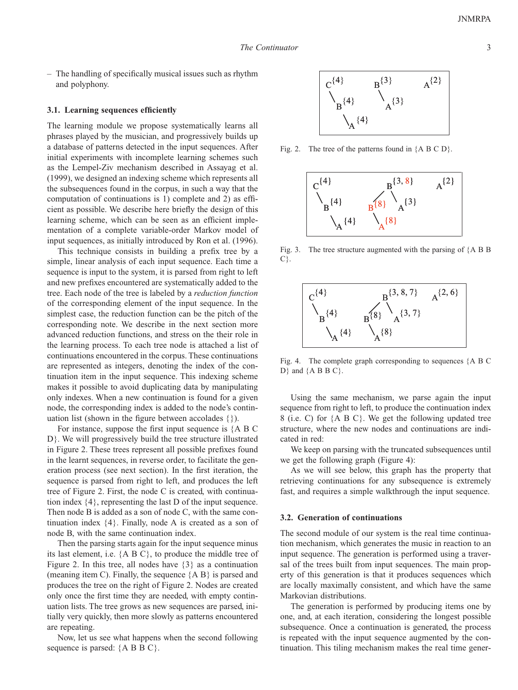– The handling of specifically musical issues such as rhythm and polyphony.

## **3.1. Learning sequences efficiently**

The learning module we propose systematically learns all phrases played by the musician, and progressively builds up a database of patterns detected in the input sequences. After initial experiments with incomplete learning schemes such as the Lempel-Ziv mechanism described in Assayag et al. (1999), we designed an indexing scheme which represents all the subsequences found in the corpus, in such a way that the computation of continuations is 1) complete and 2) as efficient as possible. We describe here briefly the design of this learning scheme, which can be seen as an efficient implementation of a complete variable-order Markov model of input sequences, as initially introduced by Ron et al. (1996).

This technique consists in building a prefix tree by a simple, linear analysis of each input sequence. Each time a sequence is input to the system, it is parsed from right to left and new prefixes encountered are systematically added to the tree. Each node of the tree is labeled by a *reduction function* of the corresponding element of the input sequence. In the simplest case, the reduction function can be the pitch of the corresponding note. We describe in the next section more advanced reduction functions, and stress on the their role in the learning process. To each tree node is attached a list of continuations encountered in the corpus. These continuations are represented as integers, denoting the index of the continuation item in the input sequence. This indexing scheme makes it possible to avoid duplicating data by manipulating only indexes. When a new continuation is found for a given node, the corresponding index is added to the node's continuation list (shown in the figure between accolades {}).

For instance, suppose the first input sequence is {A B C D}. We will progressively build the tree structure illustrated in Figure 2. These trees represent all possible prefixes found in the learnt sequences, in reverse order, to facilitate the generation process (see next section). In the first iteration, the sequence is parsed from right to left, and produces the left tree of Figure 2. First, the node C is created, with continuation index {4}, representing the last D of the input sequence. Then node B is added as a son of node C, with the same continuation index {4}. Finally, node A is created as a son of node B, with the same continuation index.

Then the parsing starts again for the input sequence minus its last element, i.e. {A B C}, to produce the middle tree of Figure 2. In this tree, all nodes have {3} as a continuation (meaning item C). Finally, the sequence {A B} is parsed and produces the tree on the right of Figure 2. Nodes are created only once the first time they are needed, with empty continuation lists. The tree grows as new sequences are parsed, initially very quickly, then more slowly as patterns encountered are repeating.

Now, let us see what happens when the second following sequence is parsed:  ${A \ B \ B \ C}$ .



Fig. 2. The tree of the patterns found in  ${AB \cap D}$ .



Fig. 3. The tree structure augmented with the parsing of {A B B  $C$ }.



Fig. 4. The complete graph corresponding to sequences {A B C  $D$ } and  ${A \ B \ B \ C}$ .

Using the same mechanism, we parse again the input sequence from right to left, to produce the continuation index 8 (i.e. C) for {A B C}. We get the following updated tree structure, where the new nodes and continuations are indicated in red:

We keep on parsing with the truncated subsequences until we get the following graph (Figure 4):

As we will see below, this graph has the property that retrieving continuations for any subsequence is extremely fast, and requires a simple walkthrough the input sequence.

## **3.2. Generation of continuations**

The second module of our system is the real time continuation mechanism, which generates the music in reaction to an input sequence. The generation is performed using a traversal of the trees built from input sequences. The main property of this generation is that it produces sequences which are locally maximally consistent, and which have the same Markovian distributions.

The generation is performed by producing items one by one, and, at each iteration, considering the longest possible subsequence. Once a continuation is generated, the process is repeated with the input sequence augmented by the continuation. This tiling mechanism makes the real time gener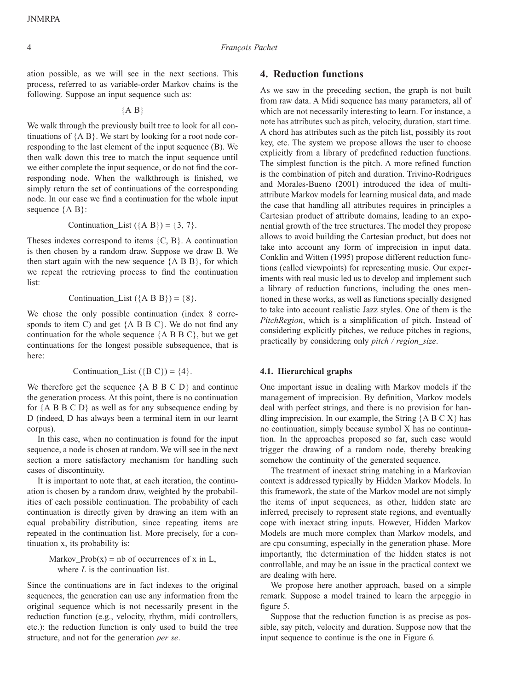ation possible, as we will see in the next sections. This process, referred to as variable-order Markov chains is the following. Suppose an input sequence such as:

 ${A B}$ 

We walk through the previously built tree to look for all continuations of {A B}. We start by looking for a root node corresponding to the last element of the input sequence (B). We then walk down this tree to match the input sequence until we either complete the input sequence, or do not find the corresponding node. When the walkthrough is finished, we simply return the set of continuations of the corresponding node. In our case we find a continuation for the whole input sequence {A B}:

Continuation List  $({A B}) = {3, 7}.$ 

Theses indexes correspond to items {C, B}. A continuation is then chosen by a random draw. Suppose we draw B. We then start again with the new sequence  ${A \, B \, B}$ , for which we repeat the retrieving process to find the continuation list:

Continuation List ( ${AB B}$ ) =  ${8}$ .

We chose the only possible continuation (index 8 corresponds to item C) and get  ${A \ B \ B \ C}$ . We do not find any continuation for the whole sequence  ${AB \ B \ C}$ , but we get continuations for the longest possible subsequence, that is here:

Continuation List ( ${B \ C}$ ) =  ${4}$ .

We therefore get the sequence  ${A \ B \ B \ C \ D}$  and continue the generation process. At this point, there is no continuation for  ${A \ B \ B \ C \ D}$  as well as for any subsequence ending by D (indeed, D has always been a terminal item in our learnt corpus).

In this case, when no continuation is found for the input sequence, a node is chosen at random. We will see in the next section a more satisfactory mechanism for handling such cases of discontinuity.

It is important to note that, at each iteration, the continuation is chosen by a random draw, weighted by the probabilities of each possible continuation. The probability of each continuation is directly given by drawing an item with an equal probability distribution, since repeating items are repeated in the continuation list. More precisely, for a continuation x, its probability is:

> Markov\_Prob(x) = nb of occurrences of x in L, where *L* is the continuation list.

Since the continuations are in fact indexes to the original sequences, the generation can use any information from the original sequence which is not necessarily present in the reduction function (e.g., velocity, rhythm, midi controllers, etc.): the reduction function is only used to build the tree structure, and not for the generation *per se*.

## **4. Reduction functions**

As we saw in the preceding section, the graph is not built from raw data. A Midi sequence has many parameters, all of which are not necessarily interesting to learn. For instance, a note has attributes such as pitch, velocity, duration, start time. A chord has attributes such as the pitch list, possibly its root key, etc. The system we propose allows the user to choose explicitly from a library of predefined reduction functions. The simplest function is the pitch. A more refined function is the combination of pitch and duration. Trivino-Rodrigues and Morales-Bueno (2001) introduced the idea of multiattribute Markov models for learning musical data, and made the case that handling all attributes requires in principles a Cartesian product of attribute domains, leading to an exponential growth of the tree structures. The model they propose allows to avoid building the Cartesian product, but does not take into account any form of imprecision in input data. Conklin and Witten (1995) propose different reduction functions (called viewpoints) for representing music. Our experiments with real music led us to develop and implement such a library of reduction functions, including the ones mentioned in these works, as well as functions specially designed to take into account realistic Jazz styles. One of them is the *PitchRegion*, which is a simplification of pitch. Instead of considering explicitly pitches, we reduce pitches in regions, practically by considering only *pitch / region*\_*size*.

#### **4.1. Hierarchical graphs**

One important issue in dealing with Markov models if the management of imprecision. By definition, Markov models deal with perfect strings, and there is no provision for handling imprecision. In our example, the String  ${A \ B \ C \ X}$  has no continuation, simply because symbol X has no continuation. In the approaches proposed so far, such case would trigger the drawing of a random node, thereby breaking somehow the continuity of the generated sequence.

The treatment of inexact string matching in a Markovian context is addressed typically by Hidden Markov Models. In this framework, the state of the Markov model are not simply the items of input sequences, as other, hidden state are inferred, precisely to represent state regions, and eventually cope with inexact string inputs. However, Hidden Markov Models are much more complex than Markov models, and are cpu consuming, especially in the generation phase. More importantly, the determination of the hidden states is not controllable, and may be an issue in the practical context we are dealing with here.

We propose here another approach, based on a simple remark. Suppose a model trained to learn the arpeggio in figure 5.

Suppose that the reduction function is as precise as possible, say pitch, velocity and duration. Suppose now that the input sequence to continue is the one in Figure 6.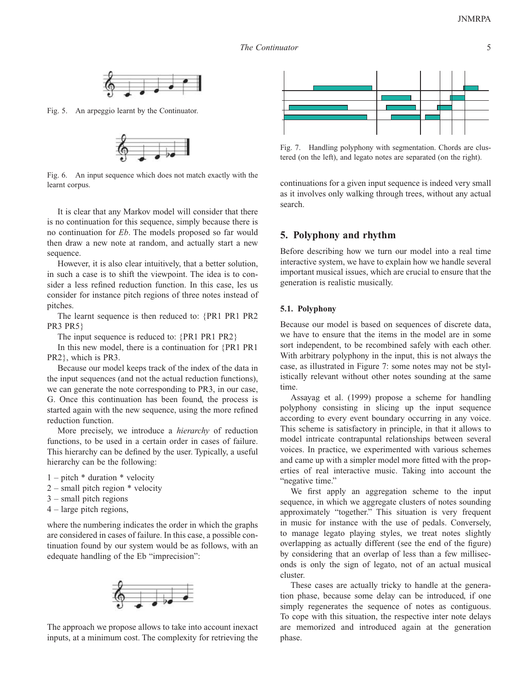

Fig. 5. An arpeggio learnt by the Continuator.



Fig. 6. An input sequence which does not match exactly with the learnt corpus.

It is clear that any Markov model will consider that there is no continuation for this sequence, simply because there is no continuation for *Eb*. The models proposed so far would then draw a new note at random, and actually start a new sequence.

However, it is also clear intuitively, that a better solution, in such a case is to shift the viewpoint. The idea is to consider a less refined reduction function. In this case, les us consider for instance pitch regions of three notes instead of pitches.

The learnt sequence is then reduced to: {PR1 PR1 PR2 PR3 PR5}

The input sequence is reduced to:  $\{PR1 PR1 PR2\}$ 

In this new model, there is a continuation for {PR1 PR1 PR2}, which is PR3.

Because our model keeps track of the index of the data in the input sequences (and not the actual reduction functions), we can generate the note corresponding to PR3, in our case, G. Once this continuation has been found, the process is started again with the new sequence, using the more refined reduction function.

More precisely, we introduce a *hierarchy* of reduction functions, to be used in a certain order in cases of failure. This hierarchy can be defined by the user. Typically, a useful hierarchy can be the following:

- $1$  pitch  $*$  duration  $*$  velocity
- 2 small pitch region \* velocity
- 3 small pitch regions
- 4 large pitch regions,

where the numbering indicates the order in which the graphs are considered in cases of failure. In this case, a possible continuation found by our system would be as follows, with an edequate handling of the Eb "imprecision":







Fig. 7. Handling polyphony with segmentation. Chords are clustered (on the left), and legato notes are separated (on the right).

continuations for a given input sequence is indeed very small as it involves only walking through trees, without any actual search.

# **5. Polyphony and rhythm**

Before describing how we turn our model into a real time interactive system, we have to explain how we handle several important musical issues, which are crucial to ensure that the generation is realistic musically.

#### **5.1. Polyphony**

Because our model is based on sequences of discrete data, we have to ensure that the items in the model are in some sort independent, to be recombined safely with each other. With arbitrary polyphony in the input, this is not always the case, as illustrated in Figure 7: some notes may not be stylistically relevant without other notes sounding at the same time.

Assayag et al. (1999) propose a scheme for handling polyphony consisting in slicing up the input sequence according to every event boundary occurring in any voice. This scheme is satisfactory in principle, in that it allows to model intricate contrapuntal relationships between several voices. In practice, we experimented with various schemes and came up with a simpler model more fitted with the properties of real interactive music. Taking into account the "negative time."

We first apply an aggregation scheme to the input sequence, in which we aggregate clusters of notes sounding approximately "together." This situation is very frequent in music for instance with the use of pedals. Conversely, to manage legato playing styles, we treat notes slightly overlapping as actually different (see the end of the figure) by considering that an overlap of less than a few milliseconds is only the sign of legato, not of an actual musical cluster.

These cases are actually tricky to handle at the generation phase, because some delay can be introduced, if one simply regenerates the sequence of notes as contiguous. To cope with this situation, the respective inter note delays are memorized and introduced again at the generation phase.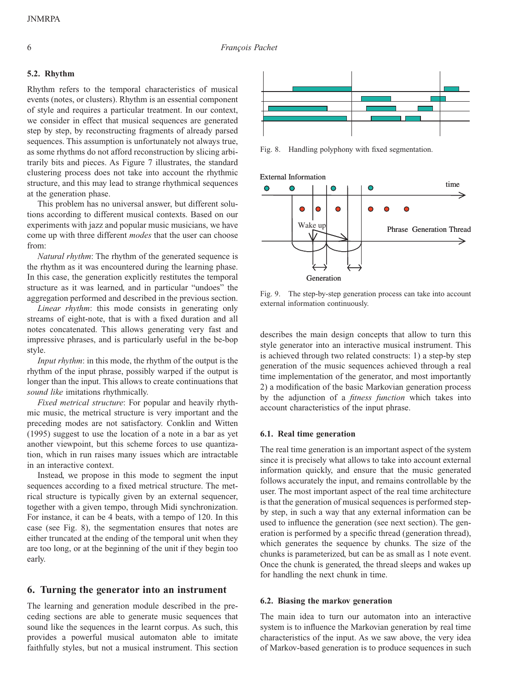## 6 *François Pachet*

## **5.2. Rhythm**

Rhythm refers to the temporal characteristics of musical events (notes, or clusters). Rhythm is an essential component of style and requires a particular treatment. In our context, we consider in effect that musical sequences are generated step by step, by reconstructing fragments of already parsed sequences. This assumption is unfortunately not always true, as some rhythms do not afford reconstruction by slicing arbitrarily bits and pieces. As Figure 7 illustrates, the standard clustering process does not take into account the rhythmic structure, and this may lead to strange rhythmical sequences at the generation phase.

This problem has no universal answer, but different solutions according to different musical contexts. Based on our experiments with jazz and popular music musicians, we have come up with three different *modes* that the user can choose from:

*Natural rhythm*: The rhythm of the generated sequence is the rhythm as it was encountered during the learning phase. In this case, the generation explicitly restitutes the temporal structure as it was learned, and in particular "undoes" the aggregation performed and described in the previous section.

*Linear rhythm*: this mode consists in generating only streams of eight-note, that is with a fixed duration and all notes concatenated. This allows generating very fast and impressive phrases, and is particularly useful in the be-bop style.

*Input rhythm*: in this mode, the rhythm of the output is the rhythm of the input phrase, possibly warped if the output is longer than the input. This allows to create continuations that *sound like* imitations rhythmically.

*Fixed metrical structure*: For popular and heavily rhythmic music, the metrical structure is very important and the preceding modes are not satisfactory. Conklin and Witten (1995) suggest to use the location of a note in a bar as yet another viewpoint, but this scheme forces to use quantization, which in run raises many issues which are intractable in an interactive context.

Instead, we propose in this mode to segment the input sequences according to a fixed metrical structure. The metrical structure is typically given by an external sequencer, together with a given tempo, through Midi synchronization. For instance, it can be 4 beats, with a tempo of 120. In this case (see Fig. 8), the segmentation ensures that notes are either truncated at the ending of the temporal unit when they are too long, or at the beginning of the unit if they begin too early.

## **6. Turning the generator into an instrument**

The learning and generation module described in the preceding sections are able to generate music sequences that sound like the sequences in the learnt corpus. As such, this provides a powerful musical automaton able to imitate faithfully styles, but not a musical instrument. This section



Fig. 8. Handling polyphony with fixed segmentation.



Fig. 9. The step-by-step generation process can take into account external information continuously.

describes the main design concepts that allow to turn this style generator into an interactive musical instrument. This is achieved through two related constructs: 1) a step-by step generation of the music sequences achieved through a real time implementation of the generator, and most importantly 2) a modification of the basic Markovian generation process by the adjunction of a *fitness function* which takes into account characteristics of the input phrase.

#### **6.1. Real time generation**

The real time generation is an important aspect of the system since it is precisely what allows to take into account external information quickly, and ensure that the music generated follows accurately the input, and remains controllable by the user. The most important aspect of the real time architecture is that the generation of musical sequences is performed stepby step, in such a way that any external information can be used to influence the generation (see next section). The generation is performed by a specific thread (generation thread), which generates the sequence by chunks. The size of the chunks is parameterized, but can be as small as 1 note event. Once the chunk is generated, the thread sleeps and wakes up for handling the next chunk in time.

### **6.2. Biasing the markov generation**

The main idea to turn our automaton into an interactive system is to influence the Markovian generation by real time characteristics of the input. As we saw above, the very idea of Markov-based generation is to produce sequences in such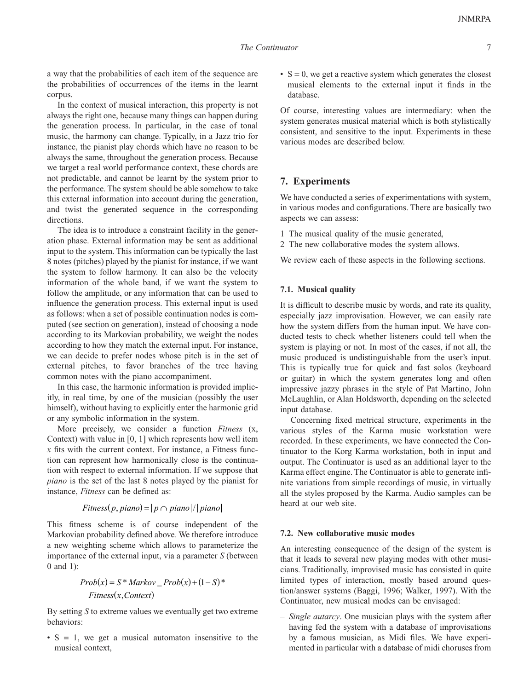a way that the probabilities of each item of the sequence are the probabilities of occurrences of the items in the learnt corpus.

In the context of musical interaction, this property is not always the right one, because many things can happen during the generation process. In particular, in the case of tonal music, the harmony can change. Typically, in a Jazz trio for instance, the pianist play chords which have no reason to be always the same, throughout the generation process. Because we target a real world performance context, these chords are not predictable, and cannot be learnt by the system prior to the performance. The system should be able somehow to take this external information into account during the generation, and twist the generated sequence in the corresponding directions.

The idea is to introduce a constraint facility in the generation phase. External information may be sent as additional input to the system. This information can be typically the last 8 notes (pitches) played by the pianist for instance, if we want the system to follow harmony. It can also be the velocity information of the whole band, if we want the system to follow the amplitude, or any information that can be used to influence the generation process. This external input is used as follows: when a set of possible continuation nodes is computed (see section on generation), instead of choosing a node according to its Markovian probability, we weight the nodes according to how they match the external input. For instance, we can decide to prefer nodes whose pitch is in the set of external pitches, to favor branches of the tree having common notes with the piano accompaniment.

In this case, the harmonic information is provided implicitly, in real time, by one of the musician (possibly the user himself), without having to explicitly enter the harmonic grid or any symbolic information in the system.

More precisely, we consider a function *Fitness* (x, Context) with value in [0, 1] which represents how well item *x* fits with the current context. For instance, a Fitness function can represent how harmonically close is the continuation with respect to external information. If we suppose that *piano* is the set of the last 8 notes played by the pianist for instance, *Fitness* can be defined as:

#### $Fitness(p, piano) = | p \cap piano | / | piano|$

This fitness scheme is of course independent of the Markovian probability defined above. We therefore introduce a new weighting scheme which allows to parameterize the importance of the external input, via a parameter *S* (between 0 and 1):

$$
Prob(x) = S * Markov\_Prob(x) + (1 - S) *Fitness(x, Context)
$$

By setting *S* to extreme values we eventually get two extreme behaviors:

•  $S = 1$ , we get a musical automaton insensitive to the musical context,

•  $S = 0$ , we get a reactive system which generates the closest musical elements to the external input it finds in the database.

Of course, interesting values are intermediary: when the system generates musical material which is both stylistically consistent, and sensitive to the input. Experiments in these various modes are described below.

## **7. Experiments**

We have conducted a series of experimentations with system, in various modes and configurations. There are basically two aspects we can assess:

- 1 The musical quality of the music generated,
- 2 The new collaborative modes the system allows.

We review each of these aspects in the following sections.

#### **7.1. Musical quality**

It is difficult to describe music by words, and rate its quality, especially jazz improvisation. However, we can easily rate how the system differs from the human input. We have conducted tests to check whether listeners could tell when the system is playing or not. In most of the cases, if not all, the music produced is undistinguishable from the user's input. This is typically true for quick and fast solos (keyboard or guitar) in which the system generates long and often impressive jazzy phrases in the style of Pat Martino, John McLaughlin, or Alan Holdsworth, depending on the selected input database.

Concerning fixed metrical structure, experiments in the various styles of the Karma music workstation were recorded. In these experiments, we have connected the Continuator to the Korg Karma workstation, both in input and output. The Continuator is used as an additional layer to the Karma effect engine. The Continuator is able to generate infinite variations from simple recordings of music, in virtually all the styles proposed by the Karma. Audio samples can be heard at our web site.

## **7.2. New collaborative music modes**

An interesting consequence of the design of the system is that it leads to several new playing modes with other musicians. Traditionally, improvised music has consisted in quite limited types of interaction, mostly based around question/answer systems (Baggi, 1996; Walker, 1997). With the Continuator, new musical modes can be envisaged:

– *Single autarcy*. One musician plays with the system after having fed the system with a database of improvisations by a famous musician, as Midi files. We have experimented in particular with a database of midi choruses from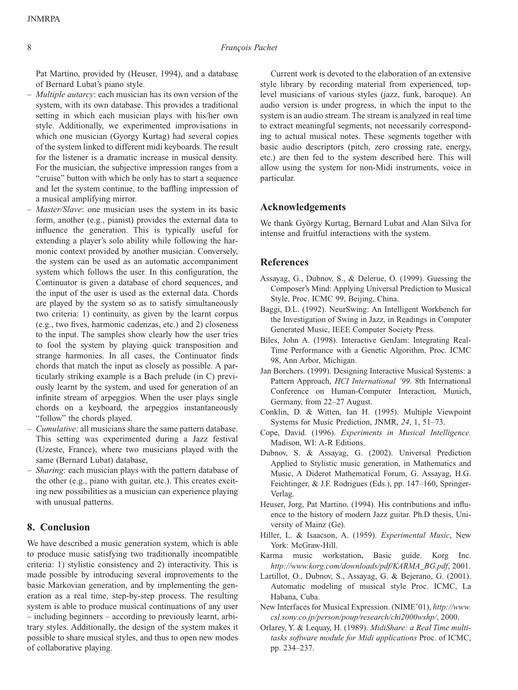Pat Martino, provided by (Heuser, 1994), and a database of Bernard Lubat's piano style.

- *Multiple autarcy*: each musician has its own version of the system, with its own database. This provides a traditional setting in which each musician plays with his/her own style. Additionally, we experimented improvisations in which one musician (Gyorgy Kurtag) had several copies of the system linked to different midi keyboards. The result for the listener is a dramatic increase in musical density. For the musician, the subjective impression ranges from a "cruise" button with which he only has to start a sequence and let the system continue, to the baffling impression of a musical amplifying mirror.
- *Master/Slave*: one musician uses the system in its basic form, another (e.g., pianist) provides the external data to influence the generation. This is typically useful for extending a player's solo ability while following the harmonic context provided by another musician. Conversely, the system can be used as an automatic accompaniment system which follows the user. In this configuration, the Continuator is given a database of chord sequences, and the input of the user is used as the external data. Chords are played by the system so as to satisfy simultaneously two criteria: 1) continuity, as given by the learnt corpus (e.g., two fives, harmonic cadenzas, etc.) and 2) closeness to the input. The samples show clearly how the user tries to fool the system by playing quick transposition and strange harmonies. In all cases, the Continuator finds chords that match the input as closely as possible. A particularly striking example is a Bach prelude (in C) previously learnt by the system, and used for generation of an infinite stream of arpeggios. When the user plays single chords on a keyboard, the arpeggios instantaneously "follow" the chords played.
- *Cumulative*: all musicians share the same pattern database. This setting was experimented during a Jazz festival (Uzeste, France), where two musicians played with the same (Bernard Lubat) database,
- *Sharing*: each musician plays with the pattern database of the other (e.g., piano with guitar, etc.). This creates exciting new possibilities as a musician can experience playing with unusual patterns.

# **8. Conclusion**

We have described a music generation system, which is able to produce music satisfying two traditionally incompatible criteria: 1) stylistic consistency and 2) interactivity. This is made possible by introducing several improvements to the basic Markovian generation, and by implementing the generation as a real time, step-by-step process. The resulting system is able to produce musical continuations of any user – including beginners – according to previously learnt, arbitrary styles. Additionally, the design of the system makes it possible to share musical styles, and thus to open new modes of collaborative playing.

Current work is devoted to the elaboration of an extensive style library by recording material from experienced, toplevel musicians of various styles (jazz, funk, baroque). An audio version is under progress, in which the input to the system is an audio stream. The stream is analyzed in real time to extract meaningful segments, not necessarily corresponding to actual musical notes. These segments together with basic audio descriptors (pitch, zero crossing rate, energy, etc.) are then fed to the system described here. This will allow using the system for non-Midi instruments, voice in particular.

# **Acknowledgements**

We thank György Kurtag, Bernard Lubat and Alan Silva for intense and fruitful interactions with the system.

# **References**

- Assayag, G., Dubnov, S., & Delerue, O. (1999). Guessing the Composer's Mind: Applying Universal Prediction to Musical Style, Proc. ICMC 99, Beijing, China.
- Baggi, D.L. (1992). NeurSwing: An Intelligent Workbench for the Investigation of Swing in Jazz, in Readings in Computer Generated Music, IEEE Computer Society Press.
- Biles, John A. (1998). Interactive GenJam: Integrating Real-Time Performance with a Genetic Algorithm, Proc. ICMC 98, Ann Arbor, Michigan.
- Jan Borchers. (1999). Designing Interactive Musical Systems: a Pattern Approach, *HCI International '99*. 8th International Conference on Human-Computer Interaction, Munich, Germany, from 22–27 August.
- Conklin, D. & Witten, Ian H. (1995). Multiple Viewpoint Systems for Music Prediction, JNMR, *24*, 1, 51–73.
- Cope, David. (1996). *Experiments in Musical Intelligence.* Madison, WI: A-R Editions.
- Dubnov, S. & Assayag, G. (2002). Universal Prediction Applied to Stylistic music generation, in Mathematics and Music, A Diderot Mathematical Forum, G. Assayag, H.G. Feichtinger, & J.F. Rodrigues (Eds.), pp. 147–160, Springer-Verlag.
- Heuser, Jorg, Pat Martino. (1994). His contributions and influence to the history of modern Jazz guitar. Ph.D thesis, University of Mainz (Ge).
- Hiller, L. & Isaacson, A. (1959). *Experimental Music*, New York: McGraw-Hill.
- Karma music workstation, Basic guide. Korg Inc. *http://www.korg.com/downloads/pdf/KARMA\_BG.pdf*, 2001.
- Lartillot, O., Dubnov, S., Assayag, G. & Bejerano, G. (2001). Automatic modeling of musical style Proc. ICMC, La Habana, Cuba.
- New Interfaces for Musical Expression. (NIME'01), *http://www. csl.sony.co.jp/person/poup/research/chi2000wshp/*, 2000.
- Orlarey, Y. & Lequay, H. (1989). *MidiShare: a Real Time multitasks software module for Midi applications* Proc. of ICMC, pp. 234–237.